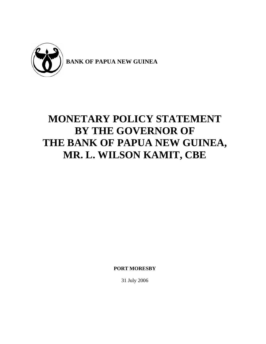

# **MONETARY POLICY STATEMENT BY THE GOVERNOR OF THE BANK OF PAPUA NEW GUINEA, MR. L. WILSON KAMIT, CBE**

**PORT MORESBY** 

31 July 2006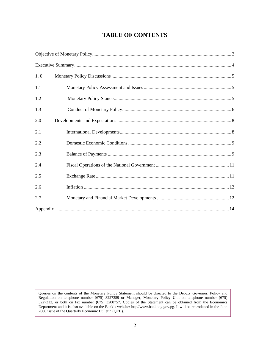## **TABLE OF CONTENTS**

| 1.0 |  |
|-----|--|
| 1.1 |  |
| 1.2 |  |
| 1.3 |  |
| 2.0 |  |
| 2.1 |  |
| 2.2 |  |
| 2.3 |  |
| 2.4 |  |
| 2.5 |  |
| 2.6 |  |
| 2.7 |  |
|     |  |

Queries on the contents of the Monetary Policy Statement should be directed to the Deputy Governor, Policy and Regulation on telephone number (675) 3227359 or Manager, Monetary Policy Unit on telephone number (675) 3227312, or both on fax number (675) 3200757. Copies of the Statement can be obtained from the Economics Department and it is also available on the Bank's website: http//www.bankpng.gov.pg. It will be reproduced in the June 2006 issue of the Quarterly Economic Bulletin (QEB).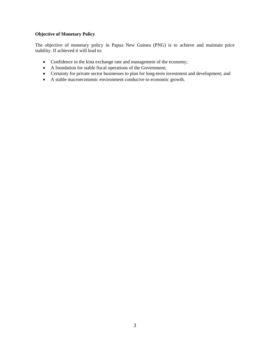## <span id="page-2-0"></span>**Objective of Monetary Policy**

The objective of monetary policy in Papua New Guinea (PNG) is to achieve and maintain price stability. If achieved it will lead to:

- Confidence in the kina exchange rate and management of the economy;
- A foundation for stable fiscal operations of the Government;
- Certainty for private sector businesses to plan for long-term investment and development; and
- A stable macroeconomic environment conducive to economic growth.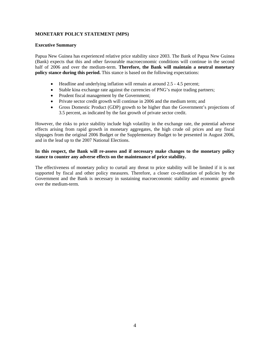#### <span id="page-3-0"></span>**MONETARY POLICY STATEMENT (MPS)**

#### **Executive Summary**

Papua New Guinea has experienced relative price stability since 2003. The Bank of Papua New Guinea (Bank) expects that this and other favourable macroeconomic conditions will continue in the second half of 2006 and over the medium-term. **Therefore, the Bank will maintain a neutral monetary policy stance during this period.** This stance is based on the following expectations:

- Headline and underlying inflation will remain at around 2.5 4.5 percent;
- Stable kina exchange rate against the currencies of PNG's major trading partners;
- Prudent fiscal management by the Government;
- Private sector credit growth will continue in 2006 and the medium term; and
- Gross Domestic Product (GDP) growth to be higher than the Government's projections of 3.5 percent, as indicated by the fast growth of private sector credit.

However, the risks to price stability include high volatility in the exchange rate, the potential adverse effects arising from rapid growth in monetary aggregates, the high crude oil prices and any fiscal slippages from the original 2006 Budget or the Supplementary Budget to be presented in August 2006, and in the lead up to the 2007 National Elections.

#### **In this respect, the Bank will re-assess and if necessary make changes to the monetary policy stance to counter any adverse effects on the maintenance of price stability.**

The effectiveness of monetary policy to curtail any threat to price stability will be limited if it is not supported by fiscal and other policy measures. Therefore, a closer co-ordination of policies by the Government and the Bank is necessary in sustaining macroeconomic stability and economic growth over the medium-term.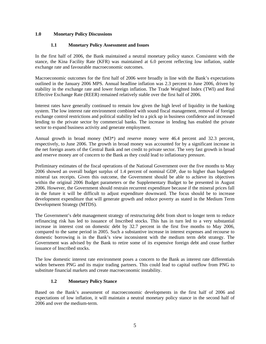#### <span id="page-4-0"></span>**1.0 Monetary Policy Discussions**

#### **1.1 Monetary Policy Assessment and Issues**

In the first half of 2006, the Bank maintained a neutral monetary policy stance. Consistent with the stance, the Kina Facility Rate (KFR) was maintained at 6.0 percent reflecting low inflation, stable exchange rate and favourable macroeconomic outcomes.

Macroeconomic outcomes for the first half of 2006 were broadly in line with the Bank's expectations outlined in the January 2006 MPS. Annual headline inflation was 2.3 percent to June 2006, driven by stability in the exchange rate and lower foreign inflation. The Trade Weighted Index (TWI) and Real Effective Exchange Rate (REER) remained relatively stable over the first half of 2006.

Interest rates have generally continued to remain low given the high level of liquidity in the banking system. The low interest rate environment combined with sound fiscal management, removal of foreign exchange control restrictions and political stability led to a pick up in business confidence and increased lending to the private sector by commercial banks. The increase in lending has enabled the private sector to expand business activity and generate employment.

Annual growth in broad money (M3<sup>\*</sup>) and reserve money were 46.4 percent and 32.3 percent, respectively, to June 2006. The growth in broad money was accounted for by a significant increase in the net foreign assets of the Central Bank and net credit to private sector. The very fast growth in broad and reserve money are of concern to the Bank as they could lead to inflationary pressure.

Preliminary estimates of the fiscal operations of the National Government over the five months to May 2006 showed an overall budget surplus of 1.4 percent of nominal GDP, due to higher than budgeted mineral tax receipts. Given this outcome, the Government should be able to achieve its objectives within the original 2006 Budget parameters or the Supplementary Budget to be presented in August 2006. However, the Government should restrain recurrent expenditure because if the mineral prices fall in the future it will be difficult to adjust expenditure downward. The focus should be to increase development expenditure that will generate growth and reduce poverty as stated in the Medium Term Development Strategy (MTDS).

The Government's debt management strategy of restructuring debt from short to longer term to reduce refinancing risk has led to issuance of Inscribed stocks. This has in turn led to a very substantial increase in interest cost on domestic debt by 32.7 percent in the first five months to May 2006, compared to the same period in 2005. Such a substantive increase in interest expenses and recourse to domestic borrowing is in the Bank's view inconsistent with the medium term debt strategy. The Government was advised by the Bank to retire some of its expensive foreign debt and cease further issuance of Inscribed stocks.

The low domestic interest rate environment poses a concern to the Bank as interest rate differentials widen between PNG and its major trading partners. This could lead to capital outflow from PNG to substitute financial markets and create macroeconomic instability.

## **1.2 Monetary Policy Stance**

Based on the Bank's assessment of macroeconomic developments in the first half of 2006 and expectations of low inflation, it will maintain a neutral monetary policy stance in the second half of 2006 and over the medium-term.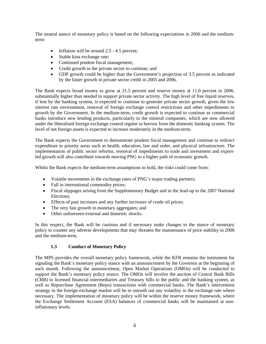<span id="page-5-0"></span>The neutral stance of monetary policy is based on the following expectations in 2006 and the mediumterm:

- Inflation will be around 2.5 4.5 percent;
- Stable kina exchange rate;
- Continued prudent fiscal management;
- Credit growth to the private sector to continue; and
- GDP growth could be higher than the Government's projection of 3.5 percent as indicated by the faster growth in private sector credit in 2005 and 2006.

The Bank expects broad money to grow at 21.5 percent and reserve money at 11.0 percent in 2006, substantially higher than needed to support private sector activity. The high level of free liquid reserves, if lent by the banking system, is expected to continue to generate private sector growth, given the low interest rate environment, removal of foreign exchange control restrictions and other impediments to growth by the Government. In the medium-term, credit growth is expected to continue as commercial banks introduce new lending products, particularly to the mineral companies, which are now allowed under the liberalised foreign exchange control regime to borrow from the domestic banking system. The level of net foreign assets is expected to increase moderately in the medium-term.

The Bank expects the Government to demonstrate prudent fiscal management and continue to redirect expenditure to priority areas such as health, education, law and order, and physical infrastructure. The implementation of public sector reforms, removal of impediments to trade and investment and exportled growth will also contribute towards moving PNG to a higher path of economic growth.

Whilst the Bank expects the medium-term assumptions to hold, the risks could come from:

- Volatile movements in the exchange rates of PNG's major trading partners;
- Fall in international commodity prices;
- Fiscal slippages arising from the Supplementary Budget and in the lead-up to the 2007 National Elections;
- Effects of past increases and any further increases of crude oil prices;
- The very fast growth in monetary aggregates; and
- Other unforeseen external and domestic shocks.

In this respect, the Bank will be cautious and if necessary make changes to the stance of monetary policy to counter any adverse developments that may threaten the maintenance of price stability in 2006 and the medium-term.

#### **1.3 Conduct of Monetary Policy**

The MPS provides the overall monetary policy framework, while the KFR remains the instrument for signaling the Bank's monetary policy stance with an announcement by the Governor at the beginning of each month. Following the announcement, Open Market Operations (OMOs) will be conducted to support the Bank's monetary policy stance. The OMOs will involve the auction of Central Bank Bills (CBB) to licensed financial intermediaries and Treasury bills to the public and the banking system, as well as Repurchase Agreement (Repo) transactions with commercial banks. The Bank's intervention strategy in the foreign exchange market will be to smooth out any volatility in the exchange rate where necessary. The implementation of monetary policy will be within the reserve money framework, where the Exchange Settlement Account (ESA) balances of commercial banks will be maintained at noninflationary levels.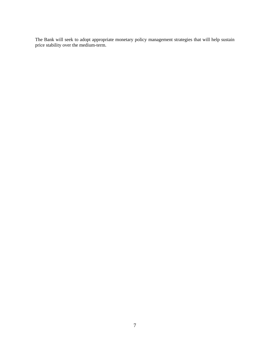The Bank will seek to adopt appropriate monetary policy management strategies that will help sustain price stability over the medium-term.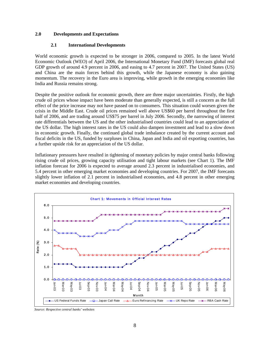#### <span id="page-7-0"></span>**2.0 Developments and Expectations**

#### **2.1 International Developments**

World economic growth is expected to be stronger in 2006, compared to 2005. In the latest World Economic Outlook (WEO) of April 2006, the International Monetary Fund (IMF) forecasts global real GDP growth of around 4.9 percent in 2006, and easing to 4.7 percent in 2007. The United States (US) and China are the main forces behind this growth, while the Japanese economy is also gaining momentum. The recovery in the Euro area is improving, while growth in the emerging economies like India and Russia remains strong.

Despite the positive outlook for economic growth, there are three major uncertainties. Firstly, the high crude oil prices whose impact have been moderate than generally expected, is still a concern as the full effect of the price increase may not have passed on to consumers. This situation could worsen given the crisis in the Middle East. Crude oil prices remained well above US\$60 per barrel throughout the first half of 2006, and are trading around US\$75 per barrel in July 2006. Secondly, the narrowing of interest rate differentials between the US and the other industrialised countries could lead to an appreciation of the US dollar. The high interest rates in the US could also dampen investment and lead to a slow down in economic growth. Finally, the continued global trade imbalance created by the current account and fiscal deficits in the US, funded by surpluses in China, Japan and India and oil exporting countries, has a further upside risk for an appreciation of the US dollar.

Inflationary pressures have resulted in tightening of monetary policies by major central banks following rising crude oil prices, growing capacity utilisation and tight labour markets (see Chart 1). The IMF inflation forecast for 2006 is expected to average around 2.3 percent in industrialised economies, and 5.4 percent in other emerging market economies and developing countries. For 2007, the IMF forecasts slightly lower inflation of 2.1 percent in industrialised economies, and 4.8 percent in other emerging market economies and developing countries.



*Source: Respective central banks' websites*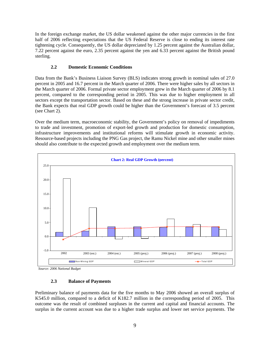<span id="page-8-0"></span>In the foreign exchange market, the US dollar weakened against the other major currencies in the first half of 2006 reflecting expectations that the US Federal Reserve is close to ending its interest rate tightening cycle. Consequently, the US dollar depreciated by 1.25 percent against the Australian dollar, 7.22 percent against the euro, 2.35 percent against the yen and 6.33 percent against the British pound sterling.

## **2.2 Domestic Economic Conditions**

Data from the Bank's Business Liaison Survey (BLS) indicates strong growth in nominal sales of 27.0 percent in 2005 and 16.7 percent in the March quarter of 2006. There were higher sales by all sectors in the March quarter of 2006. Formal private sector employment grew in the March quarter of 2006 by 8.1 percent, compared to the corresponding period in 2005. This was due to higher employment in all sectors except the transportation sector. Based on these and the strong increase in private sector credit, the Bank expects that real GDP growth could be higher than the Government's forecast of 3.5 percent (see Chart 2).

Over the medium term, macroeconomic stability, the Government's policy on removal of impediments to trade and investment, promotion of export-led growth and production for domestic consumption, infrastructure improvements and institutional reforms will stimulate growth in economic activity. Resource-based projects including the PNG Gas project, the Ramu Nickel mine and other smaller mines should also contribute to the expected growth and employment over the medium term.



*Source: 2006 National Budget*

#### **2.3 Balance of Payments**

Preliminary balance of payments data for the five months to May 2006 showed an overall surplus of K545.0 million, compared to a deficit of K182.7 million in the corresponding period of 2005. This outcome was the result of combined surpluses in the current and capital and financial accounts. The surplus in the current account was due to a higher trade surplus and lower net service payments. The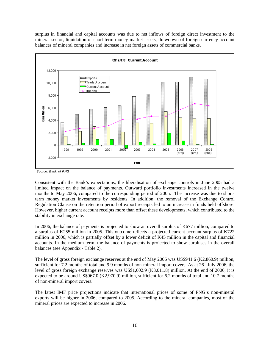surplus in financial and capital accounts was due to net inflows of foreign direct investment to the mineral sector, liquidation of short-term money market assets, drawdown of foreign currency account balances of mineral companies and increase in net foreign assets of commercial banks.





Consistent with the Bank's expectations, the liberalisation of exchange controls in June 2005 had a limited impact on the balance of payments. Outward portfolio investments increased in the twelve months to May 2006, compared to the corresponding period of 2005. The increase was due to shortterm money market investments by residents. In addition, the removal of the Exchange Control Regulation Clause on the retention period of export receipts led to an increase in funds held offshore. However, higher current account receipts more than offset these developments, which contributed to the stability in exchange rate.

In 2006, the balance of payments is projected to show an overall surplus of K677 million, compared to a surplus of K255 million in 2005. This outcome reflects a projected current account surplus of K722 million in 2006, which is partially offset by a lower deficit of K45 million in the capital and financial accounts. In the medium term, the balance of payments is projected to show surpluses in the overall balances (see Appendix - Table 2).

The level of gross foreign exchange reserves at the end of May 2006 was US\$941.6 (K2,860.9) million, sufficient for 7.2 months of total and 9.9 months of non-mineral import covers. As at  $26<sup>th</sup>$  July 2006, the level of gross foreign exchange reserves was US\$1,002.9 (K3,011.8) million. At the end of 2006, it is expected to be around US\$967.0 (K2,970.9) million, sufficient for 6.2 months of total and 10.7 months of non-mineral import covers.

The latest IMF price projections indicate that international prices of some of PNG's non-mineral exports will be higher in 2006, compared to 2005. According to the mineral companies, most of the mineral prices are expected to increase in 2006.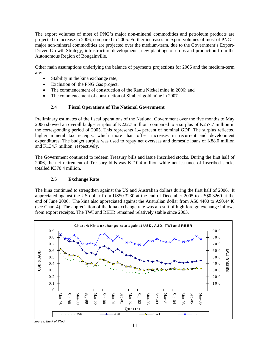<span id="page-10-0"></span>The export volumes of most of PNG's major non-mineral commodities and petroleum products are projected to increase in 2006, compared to 2005. Further increases in export volumes of most of PNG's major non-mineral commodities are projected over the medium-term, due to the Government's Export-Driven Growth Strategy, infrastructure developments, new plantings of crops and production from the Autonomous Region of Bougainville.

Other main assumptions underlying the balance of payments projections for 2006 and the medium-term are:

- Stability in the kina exchange rate;
- Exclusion of the PNG Gas project;
- The commencement of construction of the Ramu Nickel mine in 2006; and
- The commencement of construction of Simberi gold mine in 2007.

#### **2.4 Fiscal Operations of The National Government**

Preliminary estimates of the fiscal operations of the National Government over the five months to May 2006 showed an overall budget surplus of K222.7 million, compared to a surplus of K257.7 million in the corresponding period of 2005. This represents 1.4 percent of nominal GDP. The surplus reflected higher mineral tax receipts, which more than offset increases in recurrent and development expenditures. The budget surplus was used to repay net overseas and domestic loans of K88.0 million and K134.7 million, respectively.

The Government continued to redeem Treasury bills and issue Inscribed stocks. During the first half of 2006, the net retirement of Treasury bills was K210.4 million while net issuance of Inscribed stocks totalled K370.4 million.

#### **2.5 Exchange Rate**

The kina continued to strengthen against the US and Australian dollars during the first half of 2006. It appreciated against the US dollar from US\$0.3230 at the end of December 2005 to US\$0.3260 at the end of June 2006. The kina also appreciated against the Australian dollar from A\$0.4400 to A\$0.4440 (see Chart 4). The appreciation of the kina exchange rate was a result of high foreign exchange inflows from export receipts. The TWI and REER remained relatively stable since 2003.



*Source: Bank of PNG*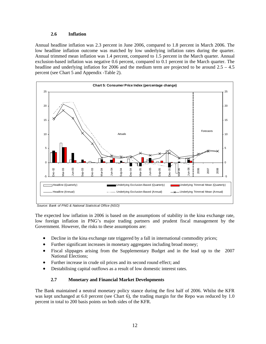#### **2.6 Inflation**

<span id="page-11-0"></span>Annual headline inflation was 2.3 percent in June 2006, compared to 1.8 percent in March 2006. The low headline inflation outcome was matched by low underlying inflation rates during the quarter. Annual trimmed mean inflation was 1.4 percent, compared to 1.5 percent in the March quarter. Annual exclusion-based inflation was negative 0.6 percent, compared to 0.1 percent in the March quarter. The headline and underlying inflation for 2006 and the medium term are projected to be around 2.5 – 4.5 percent (see Chart 5 and Appendix -Table 2).



*Source: Bank of PNG & National Statistical Office (NSO)*

The expected low inflation in 2006 is based on the assumptions of stability in the kina exchange rate, low foreign inflation in PNG's major trading partners and prudent fiscal management by the Government. However, the risks to these assumptions are:

- Decline in the kina exchange rate triggered by a fall in international commodity prices;
- Further significant increases in monetary aggregates including broad money;
- Fiscal slippages arising from the Supplementary Budget and in the lead up to the 2007 National Elections;
- Further increase in crude oil prices and its second round effect; and
- Destabilising capital outflows as a result of low domestic interest rates.

## **2.7 Monetary and Financial Market Developments**

The Bank maintained a neutral monetary policy stance during the first half of 2006. Whilst the KFR was kept unchanged at 6.0 percent (see Chart 6), the trading margin for the Repo was reduced by 1.0 percent in total to 200 basis points on both sides of the KFR.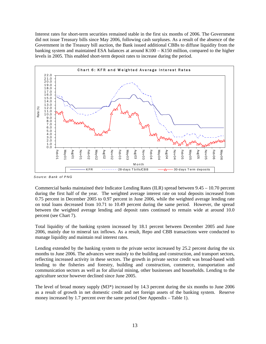Interest rates for short-term securities remained stable in the first six months of 2006. The Government did not issue Treasury bills since May 2006, following cash surpluses. As a result of the absence of the Government in the Treasury bill auction, the Bank issued additional CBBs to diffuse liquidity from the banking system and maintained ESA balances at around K100 – K150 million, compared to the higher levels in 2005. This enabled short-term deposit rates to increase during the period.



*S ourc e: B ank of P NG*

Commercial banks maintained their Indicator Lending Rates (ILR) spread between 9.45 – 10.70 percent during the first half of the year. The weighted average interest rate on total deposits increased from 0.75 percent in December 2005 to 0.97 percent in June 2006, while the weighted average lending rate on total loans decreased from 10.71 to 10.49 percent during the same period. However, the spread between the weighted average lending and deposit rates continued to remain wide at around 10.0 percent (see Chart 7).

Total liquidity of the banking system increased by 18.1 percent between December 2005 and June 2006, mainly due to mineral tax inflows. As a result, Repo and CBB transactions were conducted to manage liquidity and maintain real interest rates.

Lending extended by the banking system to the private sector increased by 25.2 percent during the six months to June 2006. The advances were mainly to the building and construction, and transport sectors, reflecting increased activity in these sectors. The growth in private sector credit was broad-based with lending to the fisheries and forestry, building and construction, commerce, transportation and communication sectors as well as for alluvial mining, other businesses and households. Lending to the agriculture sector however declined since June 2005.

The level of broad money supply (M3\*) increased by 14.3 percent during the six months to June 2006 as a result of growth in net domestic credit and net foreign assets of the banking system. Reserve money increased by 1.7 percent over the same period (See Appendix – Table 1).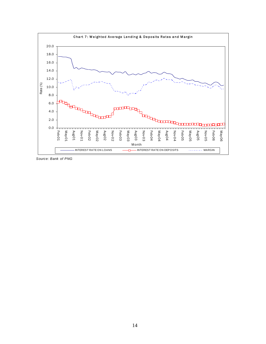

*Source: Bank of PNG*